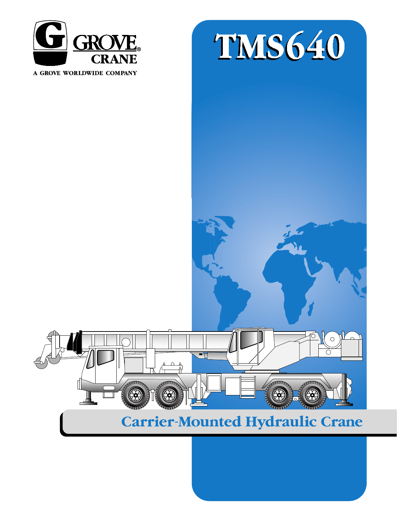



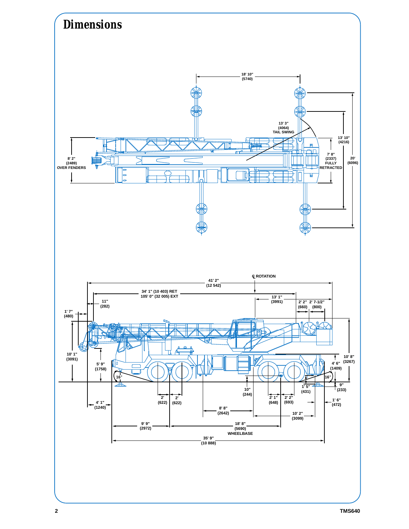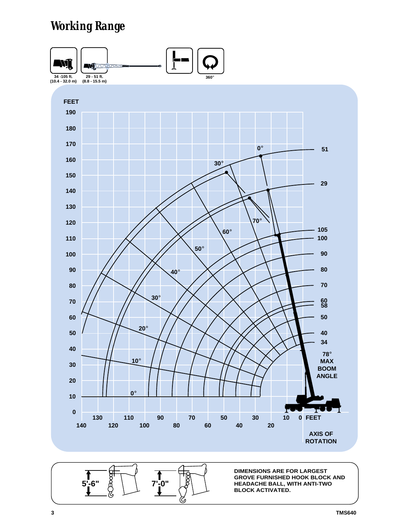# *Working Range*



ଓ

**TMS640**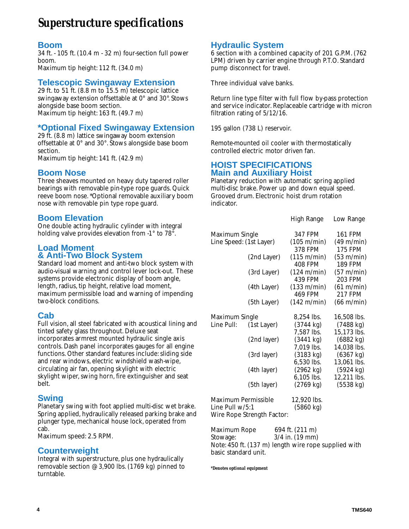# *Superstructure specifications*

#### **Boom**

34 ft. - 105 ft.(10.4 m - 32 m) four-section full power boom. Maximum tip height: 112 ft. (34.0 m)

#### **Telescopic Swingaway Extension**

29 ft. to 51 ft.(8.8 m to 15.5 m) telescopic lattice swingaway extension offsettable at 0° and 30°. Stows alongside base boom section. Maximum tip height: 163 ft. (49.7 m)

### **\*Optional Fixed Swingaway Extension**

29 ft. (8.8 m) lattice swingaway boom extension offsettable at 0° and 30°. Stows alongside base boom section.

Maximum tip height: 141 ft. (42.9 m)

#### **Boom Nose**

Three sheaves mounted on heavy duty tapered roller bearings with removable pin-type rope guards. Quick reeve boom nose. \*Optional removable auxiliary boom nose with removable pin type rope guard.

#### **Boom Elevation**

One double acting hydraulic cylinder with integral holding valve provides elevation from -1° to 78°.

#### **Load Moment & Anti-Two Block System**

Standard load moment and anti-two block system with audio-visual warning and control lever lock-out. These systems provide electronic display of boom angle, length, radius, tip height, relative load moment, maximum permissible load and warning of impending two-block conditions.

#### **Cab**

Full vision, all steel fabricated with acoustical lining and tinted safety glass throughout. Deluxe seat incorporates armrest mounted hydraulic single axis controls. Dash panel incorporates gauges for all engine functions. Other standard features include: sliding side and rear windows, electric windshield wash-wipe, circulating air fan, opening skylight with electric skylight wiper, swing horn, fire extinguisher and seat belt.

#### **Swing**

Planetary swing with foot applied multi-disc wet brake. Spring applied, hydraulically released parking brake and plunger type, mechanical house lock, operated from cab.

Maximum speed: 2.5 RPM.

#### **Counterweight**

Integral with superstructure, plus one hydraulically removable section @ 3,900 lbs.(1769 kg) pinned to turntable.

#### **Hydraulic System**

6 section with a combined capacity of 201 G.P.M. (762 LPM) driven by carrier engine through P.T.O. Standard pump disconnect for travel.

Three individual valve banks.

Return line type filter with full flow by-pass protection and service indicator. Replaceable cartridge with micron filtration rating of 5/12/16.

195 gallon (738 L) reservoir.

Remote-mounted oil cooler with thermostatically controlled electric motor driven fan.

#### **HOIST SPECIFICATIONS Main and Auxiliary Hoist**

Planetary reduction with automatic spring applied multi-disc brake. Power up and down equal speed. Grooved drum. Electronic hoist drum rotation indicator.

|                                        |                            | High Range                        | Low Range                          |
|----------------------------------------|----------------------------|-----------------------------------|------------------------------------|
| Maximum Single                         |                            | 347 FPM                           | 161 FPM                            |
| Line Speed: (1st Layer)                |                            | (105 m/min)<br>378 FPM            | (49 m/min)<br><b>175 FPM</b>       |
|                                        | (2nd Layer)                | (115 m/min)<br><b>408 FPM</b>     | (53 m/min)<br><b>189 FPM</b>       |
|                                        | (3rd Layer)                | (124 m/min)<br>439 FPM            | (57 m/min)<br>203 FPM              |
|                                        | (4th Layer)                | (133 m/min)<br><b>469 FPM</b>     | (61 m/min)<br><b>217 FPM</b>       |
|                                        | (5th Layer)                | (142 m/min)                       | $(66 \text{ m/min})$               |
| Maximum Single                         |                            | 8,254 lbs.                        | 16,508 lbs.                        |
| Line Pull:                             | (1st Layer)                | $(3744 \text{ kg})$<br>7,587 lbs. | $(7488 \text{ kg})$<br>15,173 lbs. |
|                                        | (2nd layer)                | (3441 kg)<br>7,019 lbs.           | (6882 kg)<br>14,038 lbs.           |
|                                        | (3rd layer)                | (3183 kg)                         | (6367 kg)                          |
|                                        | (4th layer)                | 6,530 lbs.<br>(2962 kg)           | 13,061 lbs.<br>(5924 kg)           |
|                                        | (5th layer)                | 6,105 lbs.<br>(2769 kg)           | 12,211 lbs.<br>(5538 kg)           |
| Maximum Permissible<br>Line Pull w/5:1 | Wire Rope Strength Factor: | 12,920 lbs.<br>(5860 kg)          |                                    |
| Maximum Rope                           |                            | 694 ft. (211 m)                   |                                    |
|                                        |                            |                                   |                                    |

Stowage: 3/4 in. (19 mm) Note: 450 ft. (137 m) length wire rope supplied with basic standard unit.

*\*Denotes optional equipment*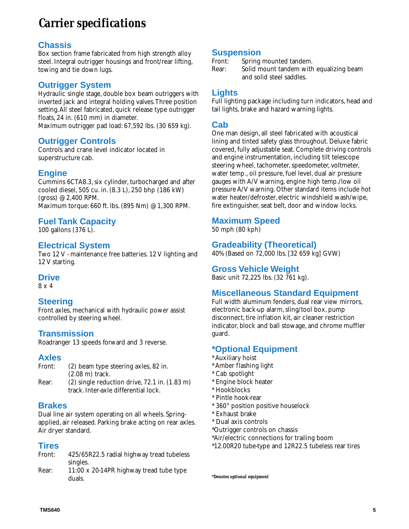# *Carrier specifications*

## **Chassis**

Box section frame fabricated from high strength alloy steel. Integral outrigger housings and front/rear lifting, towing and tie down lugs.

# **Outrigger System**

Hydraulic single stage, double box beam outriggers with inverted jack and integral holding valves.Three position setting.All steel fabricated, quick release type outrigger floats, 24 in. (610 mm) in diameter.

Maximum outrigger pad load: 67,592 lbs. (30 659 kg).

## **Outrigger Controls**

Controls and crane level indicator located in superstructure cab.

# **Engine**

Cummins 6CTA8.3, six cylinder, turbocharged and after cooled diesel, 505 cu. in. (8.3 L), 250 bhp (186 kW) (gross) @ 2,400 RPM. Maximum torque: 660 ft. lbs.(895 Nm) @ 1,300 RPM.

# **Fuel Tank Capacity**

100 gallons (376 L).

## **Electrical System**

Two 12 V - maintenance free batteries. 12 V lighting and 12 V starting.

## **Drive**

8 x 4

## **Steering**

Front axles, mechanical with hydraulic power assist controlled by steering wheel.

## **Transmission**

Roadranger 13 speeds forward and 3 reverse.

#### **Axles**

- Front: (2) beam type steering axles, 82 in. (2.08 m) track.
- Rear: (2) single reduction drive, 72.1 in. (1.83 m) track. Inter-axle differential lock.

## **Brakes**

Dual line air system operating on all wheels. Springapplied, air released. Parking brake acting on rear axles. Air dryer standard.

#### **Tires**

- Front: 425/65R22.5 radial highway tread tubeless singles.
- Rear: 11:00 x 20-14PR highway tread tube type duals.

#### **Suspension**

Front: Spring mounted tandem.

Rear: Solid mount tandem with equalizing beam and solid steel saddles.

# **Lights**

Full lighting package including turn indicators, head and tail lights, brake and hazard warning lights.

### **Cab**

One man design, all steel fabricated with acoustical lining and tinted safety glass throughout. Deluxe fabric covered, fully adjustable seat. Complete driving controls and engine instrumentation, including tilt telescope steering wheel, tachometer, speedometer, voltmeter, water temp., oil pressure, fuel level, dual air pressure gauges with A/V warning, engine high temp./low oil pressure A/V warning. Other standard items include hot water heater/defroster, electric windshield wash/wipe, fire extinguisher, seat belt, door and window locks.

## **Maximum Speed**

50 mph (80 kph)

# **Gradeability (Theoretical)**

40% (Based on 72,000 lbs.[32 659 kg] GVW)

### **Gross Vehicle Weight**

Basic unit 72,225 lbs.(32 761 kg).

## **Miscellaneous Standard Equipment**

Full width aluminum fenders, dual rear view mirrors, electronic back-up alarm, sling/tool box, pump disconnect, tire inflation kit, air cleaner restriction indicator, block and ball stowage, and chrome muffler guard.

# **\*Optional Equipment**

- \* Auxiliary hoist
- \* Amber flashing light
- \* Cab spotlight
- \* Engine block heater
- \* Hookblocks
- \* Pintle hook-rear
- \* 360° position positive houselock
- \* Exhaust brake
- \* Dual axis controls
- \*Outrigger controls on chassis
- \*Air/electric connections for trailing boom
- \*12.00R20 tube-type and 12R22.5 tubeless rear tires

*\*Denotes optional equipment*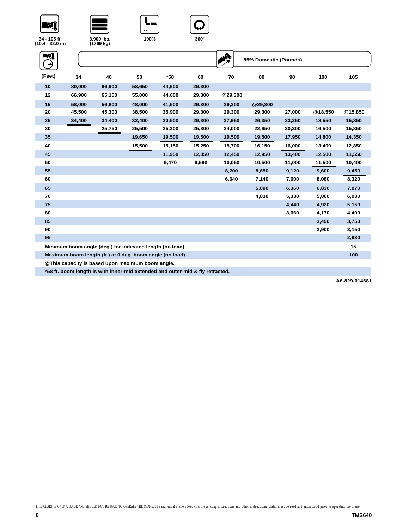







| WÎ     |                                                          |        |        |        |        |         | 85% Domestic (Pounds) |        |         |         |
|--------|----------------------------------------------------------|--------|--------|--------|--------|---------|-----------------------|--------|---------|---------|
| (Feet) | 34                                                       | 40     | 50     | $*58$  | 60     | 70      | 80                    | 90     | 100     | 105     |
| 10     | 80,000                                                   | 66,900 | 58,650 | 44,600 | 29,300 |         |                       |        |         |         |
| 12     | 66,900                                                   | 65,150 | 55,000 | 44,600 | 29,300 | @29,300 |                       |        |         |         |
| 15     | 58,000                                                   | 56,600 | 48,000 | 41,500 | 29,300 | 29,300  | @29,300               |        |         |         |
| 20     | 45,500                                                   | 45,300 | 38,500 | 35,900 | 29,300 | 29,300  | 29,300                | 27,000 | @18,550 | @15,850 |
| 25     | 34,400                                                   | 34,400 | 32,400 | 30,500 | 29,300 | 27,950  | 26,350                | 23,250 | 18,550  | 15,850  |
| 30     |                                                          | 25,750 | 25,500 | 25,300 | 25,300 | 24,000  | 22,950                | 20,300 | 16,500  | 15,850  |
| 35     |                                                          |        | 19,650 | 19,500 | 19,500 | 19,500  | 19,500                | 17,950 | 14,800  | 14,350  |
| 40     |                                                          |        | 15,500 | 15,150 | 15,250 | 15,700  | 16,150                | 16,000 | 13,400  | 12,850  |
| 45     |                                                          |        |        | 11,950 | 12,050 | 12,450  | 12,950                | 13,400 | 12,500  | 11,550  |
| 50     |                                                          |        |        | 9,470  | 9,590  | 10,050  | 10,500                | 11,000 | 11,500  | 10,400  |
| 55     |                                                          |        |        |        |        | 8,200   | 8,650                 | 9,120  | 9,600   | 9,450   |
| 60     |                                                          |        |        |        |        | 6,640   | 7,140                 | 7,600  | 8,080   | 8,320   |
| 65     |                                                          |        |        |        |        |         | 5,890                 | 6,360  | 6,830   | 7,070   |
| 70     |                                                          |        |        |        |        |         | 4,830                 | 5,330  | 5,800   | 6,030   |
| 75     |                                                          |        |        |        |        |         |                       | 4,440  | 4,920   | 5,150   |
| 80     |                                                          |        |        |        |        |         |                       | 3,660  | 4,170   | 4,400   |
| 85     |                                                          |        |        |        |        |         |                       |        | 3,490   | 3,750   |
| 90     |                                                          |        |        |        |        |         |                       |        | 2,900   | 3,150   |
| 95     |                                                          |        |        |        |        |         |                       |        |         | 2,630   |
|        | Minimum boom angle (deg.) for indicated length (no load) |        |        |        |        |         |                       |        |         | 15      |
|        | Maximum boom length (ft.) at 0 deg. boom angle (no load) |        |        |        |        |         |                       |        |         | 100     |
|        | @This sensaitu in bened wenn meximum beam enels          |        |        |        |        |         |                       |        |         |         |

**@This capacity is based upon maximum boom angle.**

**\*58 ft. boom length is with inner-mid extended and outer-mid & fly retracted.**

**A6-829-014681**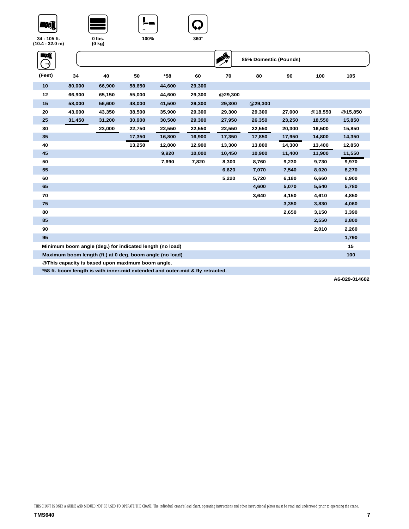







| NÎ     |                                                          |        |        |        |        |         | 85% Domestic (Pounds) |        |         |         |
|--------|----------------------------------------------------------|--------|--------|--------|--------|---------|-----------------------|--------|---------|---------|
| (Feet) | 34                                                       | 40     | 50     | $*58$  | 60     | 70      | 80                    | 90     | 100     | 105     |
| 10     | 80,000                                                   | 66,900 | 58,650 | 44,600 | 29,300 |         |                       |        |         |         |
| 12     | 66,900                                                   | 65,150 | 55,000 | 44,600 | 29,300 | @29,300 |                       |        |         |         |
| 15     | 58,000                                                   | 56,600 | 48,000 | 41,500 | 29,300 | 29,300  | @29,300               |        |         |         |
| 20     | 43,600                                                   | 43,350 | 38,500 | 35,900 | 29,300 | 29,300  | 29,300                | 27,000 | @18,550 | @15,850 |
| 25     | 31,450                                                   | 31,200 | 30,900 | 30,500 | 29,300 | 27,950  | 26,350                | 23,250 | 18,550  | 15,850  |
| 30     |                                                          | 23,000 | 22,750 | 22,550 | 22,550 | 22,550  | 22,550                | 20,300 | 16,500  | 15,850  |
| 35     |                                                          |        | 17,350 | 16,800 | 16,900 | 17,350  | 17,850                | 17,950 | 14,800  | 14,350  |
| 40     |                                                          |        | 13,250 | 12,800 | 12,900 | 13,300  | 13,800                | 14,300 | 13,400  | 12,850  |
| 45     |                                                          |        |        | 9,920  | 10,000 | 10,450  | 10,900                | 11,400 | 11,900  | 11,550  |
| 50     |                                                          |        |        | 7,690  | 7,820  | 8,300   | 8,760                 | 9,230  | 9,730   | 9,970   |
| 55     |                                                          |        |        |        |        | 6,620   | 7,070                 | 7,540  | 8,020   | 8,270   |
| 60     |                                                          |        |        |        |        | 5,220   | 5,720                 | 6,180  | 6,660   | 6,900   |
| 65     |                                                          |        |        |        |        |         | 4,600                 | 5,070  | 5,540   | 5,780   |
| 70     |                                                          |        |        |        |        |         | 3,640                 | 4,150  | 4,610   | 4,850   |
| 75     |                                                          |        |        |        |        |         |                       | 3,350  | 3,830   | 4,060   |
| 80     |                                                          |        |        |        |        |         |                       | 2,650  | 3,150   | 3,390   |
| 85     |                                                          |        |        |        |        |         |                       |        | 2,550   | 2,800   |
| 90     |                                                          |        |        |        |        |         |                       |        | 2,010   | 2,260   |
| 95     |                                                          |        |        |        |        |         |                       |        |         | 1,790   |
|        | Minimum boom angle (deg.) for indicated length (no load) |        |        |        |        |         |                       |        |         | 15      |
|        | Maximum boom length (ft.) at 0 deg. boom angle (no load) |        |        |        |        |         |                       |        |         | 100     |
|        | @ This capacity is based upon maximum boom angle.        |        |        |        |        |         |                       |        |         |         |

**\*58 ft. boom length is with inner-mid extended and outer-mid & fly retracted.**

**A6-829-014682**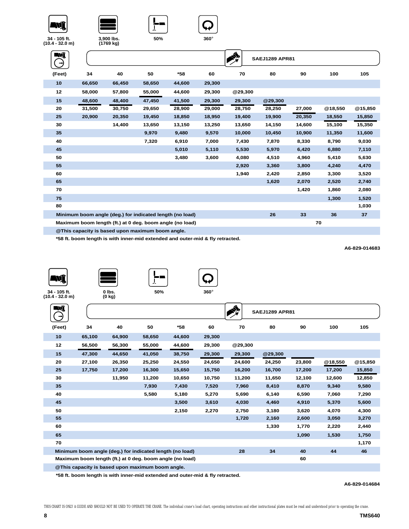





| WÎ     |                                                          |        |        |        |        | ♦       | <b>SAEJ1289 APR81</b> |        |         |         |
|--------|----------------------------------------------------------|--------|--------|--------|--------|---------|-----------------------|--------|---------|---------|
| (Feet) | 34                                                       | 40     | 50     | *58    | 60     | 70      | 80                    | 90     | 100     | 105     |
| 10     | 66,650                                                   | 66,450 | 58,650 | 44,600 | 29,300 |         |                       |        |         |         |
| 12     | 58,000                                                   | 57,800 | 55,000 | 44,600 | 29,300 | @29,300 |                       |        |         |         |
| 15     | 48,600                                                   | 48,400 | 47,450 | 41,500 | 29,300 | 29,300  | @29,300               |        |         |         |
| 20     | 31,500                                                   | 30,750 | 29,650 | 28,900 | 29,000 | 28,750  | 28,250                | 27,000 | @18,550 | @15,850 |
| 25     | 20,900                                                   | 20,350 | 19,450 | 18,850 | 18,950 | 19,400  | 19,900                | 20,350 | 18,550  | 15,850  |
| 30     |                                                          | 14,400 | 13,650 | 13,150 | 13,250 | 13,650  | 14,150                | 14,600 | 15,100  | 15,350  |
| 35     |                                                          |        | 9,970  | 9,480  | 9,570  | 10,000  | 10,450                | 10,900 | 11,350  | 11,600  |
| 40     |                                                          |        | 7,320  | 6,910  | 7,000  | 7,430   | 7,870                 | 8,330  | 8,790   | 9,030   |
| 45     |                                                          |        |        | 5,010  | 5,110  | 5,530   | 5,970                 | 6,420  | 6,880   | 7,110   |
| 50     |                                                          |        |        | 3,480  | 3,600  | 4,080   | 4,510                 | 4,960  | 5,410   | 5,630   |
| 55     |                                                          |        |        |        |        | 2,920   | 3,360                 | 3,800  | 4,240   | 4,470   |
| 60     |                                                          |        |        |        |        | 1,940   | 2,420                 | 2,850  | 3,300   | 3,520   |
| 65     |                                                          |        |        |        |        |         | 1,620                 | 2,070  | 2,520   | 2,740   |
| 70     |                                                          |        |        |        |        |         |                       | 1,420  | 1,860   | 2,080   |
| 75     |                                                          |        |        |        |        |         |                       |        | 1,300   | 1,520   |
| 80     |                                                          |        |        |        |        |         |                       |        |         | 1,030   |
|        | Minimum boom angle (deg.) for indicated length (no load) |        |        |        |        |         | 26                    | 33     | 36      | 37      |
|        | Maximum boom length (ft.) at 0 deg. boom angle (no load) |        |        |        |        |         |                       |        | 70      |         |

**@This capacity is based upon maximum boom angle.**

**\*58 ft. boom length is with inner-mid extended and outer-mid & fly retracted.**







**34 - 105 ft. (10.4 - 32.0 m)**

| WÎ     |        |                                                          |        |        |        |         | <b>SAEJ1289 APR81</b> |        |         |         |
|--------|--------|----------------------------------------------------------|--------|--------|--------|---------|-----------------------|--------|---------|---------|
| (Feet) | 34     | 40                                                       | 50     | *58    | 60     | 70      | 80                    | 90     | 100     | 105     |
| 10     | 65,100 | 64,900                                                   | 58,650 | 44,600 | 29,300 |         |                       |        |         |         |
| 12     | 56,500 | 56,300                                                   | 55,000 | 44,600 | 29,300 | @29,300 |                       |        |         |         |
| 15     | 47,300 | 44,650                                                   | 41,050 | 38,750 | 29,300 | 29,300  | @29,300               |        |         |         |
| 20     | 27,100 | 26,350                                                   | 25,250 | 24,550 | 24,650 | 24,600  | 24,250                | 23,800 | @18,550 | @15,850 |
| 25     | 17,750 | 17,200                                                   | 16,300 | 15,650 | 15,750 | 16,200  | 16,700                | 17,200 | 17,200  | 15,850  |
| 30     |        | 11,950                                                   | 11,200 | 10,650 | 10,750 | 11,200  | 11,650                | 12,100 | 12,600  | 12,850  |
| 35     |        |                                                          | 7,930  | 7,430  | 7,520  | 7,960   | 8,410                 | 8,870  | 9,340   | 9,580   |
| 40     |        |                                                          | 5,580  | 5,180  | 5,270  | 5,690   | 6,140                 | 6,590  | 7,060   | 7,290   |
| 45     |        |                                                          |        | 3,500  | 3,610  | 4,030   | 4,460                 | 4,910  | 5,370   | 5,600   |
| 50     |        |                                                          |        | 2,150  | 2,270  | 2,750   | 3,180                 | 3,620  | 4,070   | 4,300   |
| 55     |        |                                                          |        |        |        | 1,720   | 2,160                 | 2,600  | 3,050   | 3,270   |
| 60     |        |                                                          |        |        |        |         | 1,330                 | 1,770  | 2,220   | 2,440   |
| 65     |        |                                                          |        |        |        |         |                       | 1,090  | 1,530   | 1,750   |
| 70     |        |                                                          |        |        |        |         |                       |        |         | 1,170   |
|        |        | Minimum boom angle (deg.) for indicated length (no load) |        |        |        | 28      | 34                    | 40     | 44      | 46      |
|        |        | Maximum boom length (ft.) at 0 deg. boom angle (no load) |        |        |        |         |                       | 60     |         |         |
|        |        | @ This capacity is based upon maximum boom angle.        |        |        |        |         |                       |        |         |         |

**\*58 ft. boom length is with inner-mid extended and outer-mid & fly retracted.**

**A6-829-014684**

**A6-829-014683**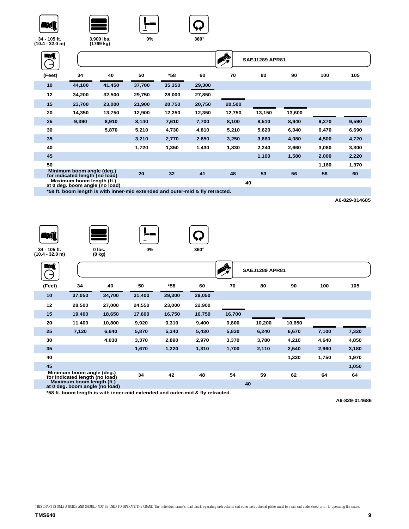







| Nî<br>→) |                                                                               |        |        |        |        |        | <b>SAEJ1289 APR81</b> |        |       |       |
|----------|-------------------------------------------------------------------------------|--------|--------|--------|--------|--------|-----------------------|--------|-------|-------|
| (Feet)   | 34                                                                            | 40     | 50     | *58    | 60     | 70     | 80                    | 90     | 100   | 105   |
| 10       | 44,100                                                                        | 41,450 | 37,700 | 35,350 | 29,300 |        |                       |        |       |       |
| 12       | 34,200                                                                        | 32,500 | 29,750 | 28,000 | 27,850 |        |                       |        |       |       |
| 15       | 23,700                                                                        | 23,000 | 21,900 | 20,750 | 20,750 | 20,500 |                       |        |       |       |
| 20       | 14,350                                                                        | 13,750 | 12,900 | 12,250 | 12,350 | 12,750 | 13,150                | 13,600 |       |       |
| 25       | 9,390                                                                         | 8,910  | 8,140  | 7,610  | 7,700  | 8,100  | 8,510                 | 8,940  | 9,370 | 9,590 |
| 30       |                                                                               | 5,870  | 5,210  | 4,730  | 4,810  | 5,210  | 5,620                 | 6,040  | 6,470 | 6,690 |
| 35       |                                                                               |        | 3,210  | 2,770  | 2,850  | 3,250  | 3,660                 | 4,080  | 4,500 | 4,720 |
| 40       |                                                                               |        | 1,720  | 1,350  | 1,430  | 1,830  | 2,240                 | 2,660  | 3,080 | 3,300 |
| 45       |                                                                               |        |        |        |        |        | 1,160                 | 1,580  | 2,000 | 2,220 |
| 50       |                                                                               |        |        |        |        |        |                       |        | 1,160 | 1,370 |
|          | Minimum boom angle (deg.)<br>for indicated length (no load)                   |        | 20     | 32     | 41     | 48     | 53                    | 56     | 58    | 60    |
|          | Maximum boom length (ft.)<br>at 0 deg. boom angle (no load)                   |        |        |        |        | 40     |                       |        |       |       |
|          | *58 ft. boom length is with inner-mid extended and outer-mid & fly retracted. |        |        |        |        |        |                       |        |       |       |

**A6-829-014685**









**34 - 105 ft. (10.4 - 32.0 m)**

| <b>ENT</b><br>$\rightarrow$ |                                                             |        |        |        |        | ◁      | <b>SAEJ1289 APR81</b> |        |       |       |
|-----------------------------|-------------------------------------------------------------|--------|--------|--------|--------|--------|-----------------------|--------|-------|-------|
| (Feet)                      | 34                                                          | 40     | 50     | *58    | 60     | 70     | 80                    | 90     | 100   | 105   |
| 10                          | 37,050                                                      | 34,700 | 31,400 | 29,300 | 29,050 |        |                       |        |       |       |
| 12                          | 28,500                                                      | 27,000 | 24,550 | 23,000 | 22,900 |        |                       |        |       |       |
| 15                          | 19,400                                                      | 18,650 | 17,600 | 16,750 | 16,750 | 16,700 |                       |        |       |       |
| 20                          | 11,400                                                      | 10,800 | 9,920  | 9,310  | 9,400  | 9,800  | 10,200                | 10,650 |       |       |
| 25                          | 7,120                                                       | 6,640  | 5,870  | 5,340  | 5,430  | 5,830  | 6,240                 | 6,670  | 7,100 | 7,320 |
| 30                          |                                                             | 4,030  | 3,370  | 2,890  | 2,970  | 3,370  | 3,780                 | 4,210  | 4,640 | 4,850 |
| 35                          |                                                             |        | 1,670  | 1,220  | 1,310  | 1,700  | 2,110                 | 2,540  | 2,960 | 3,180 |
| 40                          |                                                             |        |        |        |        |        |                       | 1,330  | 1,750 | 1,970 |
| 45                          |                                                             |        |        |        |        |        |                       |        |       | 1,050 |
|                             | Minimum boom angle (deg.)<br>for indicated length (no load) |        | 34     | 42     | 48     | 54     | 59                    | 62     | 64    | 64    |
|                             | Maximum boom length (ft.)<br>at 0 deg. boom angle (no load) |        |        |        |        | 40     |                       |        |       |       |

**\*58 ft. boom length is with inner-mid extended and outer-mid & fly retracted.**

**A6-829-014686**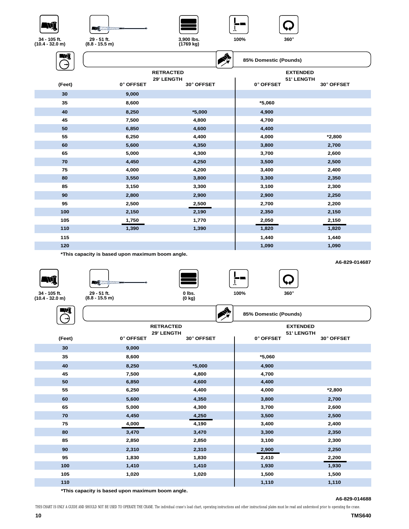







| <b>ENT</b> |           | ♦                        | 85% Domestic (Pounds)          |            |
|------------|-----------|--------------------------|--------------------------------|------------|
|            |           | <b>RETRACTED</b>         | <b>EXTENDED</b>                |            |
|            | 0° OFFSET | 29' LENGTH<br>30° OFFSET | <b>51' LENGTH</b><br>0° OFFSET | 30° OFFSET |
| (Feet)     |           |                          |                                |            |
| 30         | 9,000     |                          |                                |            |
| 35         | 8,600     |                          | $*5,060$                       |            |
| 40         | 8,250     | $*5,000$                 | 4,900                          |            |
| 45         | 7,500     | 4,800                    | 4,700                          |            |
| 50         | 6,850     | 4,600                    | 4,400                          |            |
| 55         | 6,250     | 4,400                    | 4,000                          | $*2,800$   |
| 60         | 5,600     | 4,350                    | 3,800                          | 2,700      |
| 65         | 5,000     | 4,300                    | 3,700                          | 2,600      |
| 70         | 4,450     | 4,250                    | 3,500                          | 2,500      |
| 75         | 4,000     | 4,200                    | 3,400                          | 2,400      |
| 80         | 3,550     | 3,800                    | 3,300                          | 2,350      |
| 85         | 3,150     | 3,300                    | 3,100                          | 2,300      |
| 90         | 2,800     | 2,900                    | 2,900                          | 2,250      |
| 95         | 2,500     | 2,500                    | 2,700                          | 2,200      |
| 100        | 2,150     | 2,190                    | 2,350                          | 2,150      |
| 105        | 1,750     | 1,770                    | 2,050                          | 2,150      |
| 110        | 1,390     | 1,390                    | 1,820                          | 1,820      |
| 115        |           |                          | 1,440                          | 1,440      |
| 120        |           |                          | 1,090                          | 1,090      |
|            |           |                          |                                |            |

**\*This capacity is based upon maximum boom angle.**









**A6-829-014687**

**34 - 105 ft. (10.4 - 32.0 m)**

Ξ



| - -    |                                             |            | $\sim$ | 85% Domestic (Pounds) |                                      |            |  |
|--------|---------------------------------------------|------------|--------|-----------------------|--------------------------------------|------------|--|
| (Feet) | <b>RETRACTED</b><br>29' LENGTH<br>0° OFFSET | 30° OFFSET |        | 0° OFFSET             | <b>EXTENDED</b><br><b>51' LENGTH</b> | 30° OFFSET |  |
| 30     | 9,000                                       |            |        |                       |                                      |            |  |
| 35     | 8,600                                       |            |        | $*5,060$              |                                      |            |  |
| 40     | 8,250                                       | $*5,000$   |        | 4,900                 |                                      |            |  |
| 45     | 7,500                                       | 4,800      |        | 4,700                 |                                      |            |  |
| 50     | 6,850                                       | 4,600      |        | 4,400                 |                                      |            |  |
| 55     | 6,250                                       | 4,400      |        | 4,000                 |                                      | $*2,800$   |  |
| 60     | 5,600                                       | 4,350      |        | 3,800                 |                                      | 2,700      |  |
| 65     | 5,000                                       | 4,300      |        | 3,700                 |                                      | 2,600      |  |
| 70     | 4,450                                       | 4,250      |        | 3,500                 |                                      | 2,500      |  |
| 75     | 4,000                                       | 4,190      |        | 3,400                 |                                      | 2,400      |  |
| 80     | 3,470                                       | 3,470      |        | 3,300                 |                                      | 2,350      |  |
| 85     | 2,850                                       | 2,850      |        | 3,100                 |                                      | 2,300      |  |
| 90     | 2,310                                       | 2,310      |        | 2,900                 |                                      | 2,250      |  |
| 95     | 1,830                                       | 1,830      |        | 2,410                 |                                      | 2,200      |  |
| 100    | 1,410                                       | 1,410      |        | 1,930                 |                                      | 1,930      |  |
| 105    | 1,020                                       | 1,020      |        | 1,500                 |                                      | 1,500      |  |
| 110    |                                             |            |        | 1,110                 |                                      | 1,110      |  |

آڪ آ

**\*This capacity is based upon maximum boom angle.**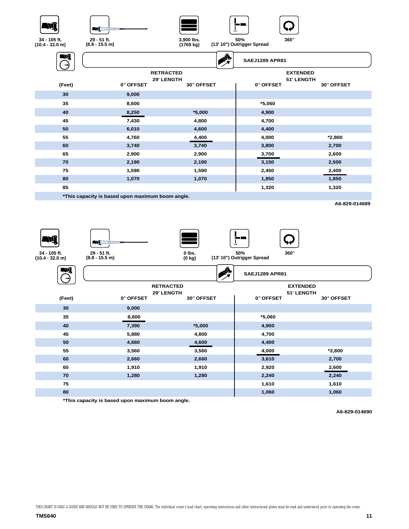







| Wî     |                                                  |            | <b>SAEJ1289 APR81</b> |                          |
|--------|--------------------------------------------------|------------|-----------------------|--------------------------|
|        | <b>RETRACTED</b>                                 |            |                       | <b>EXTENDED</b>          |
| (Feet) | 29' LENGTH<br>0° OFFSET                          | 30° OFFSET | 0° OFFSET             | 51' LENGTH<br>30° OFFSET |
|        |                                                  |            |                       |                          |
| 30     | 9,000                                            |            |                       |                          |
| 35     | 8,600                                            |            | $*5,060$              |                          |
| 40     | 8,250                                            | $*5,000$   | 4,900                 |                          |
| 45     | 7,430                                            | 4,800      | 4,700                 |                          |
| 50     | 6,010                                            | 4,600      | 4,400                 |                          |
| 55     | 4,760                                            | 4,400      | 4,000                 | $*2,800$                 |
| 60     | 3,740                                            | 3,740      | 3,800                 | 2,700                    |
| 65     | 2,900                                            | 2,900      | 3,700                 | 2,600                    |
| 70     | 2,190                                            | 2,190      | 3,150                 | 2,500                    |
| 75     | 1,590                                            | 1,590      | 2,450                 | 2,400                    |
| 80     | 1,070                                            | 1,070      | 1,850                 | 1,850                    |
| 85     |                                                  |            | 1,320                 | 1,320                    |
|        | *This capacity is based upon maximum boom angle. |            |                       |                          |
|        |                                                  |            |                       | A6-829-014689            |

ŊÎ





**0 lbs. (0 kg)**





**34 - 105 ft. (10.4 - 32.0 m)**

**50% <sup>360</sup>**° **(13' 10") Outrigger Spread**

| WÎ     |           |                                | A | <b>SAEJ1289 APR81</b> |                               |            |  |
|--------|-----------|--------------------------------|---|-----------------------|-------------------------------|------------|--|
|        |           | <b>RETRACTED</b><br>29' LENGTH |   |                       | <b>EXTENDED</b><br>51' LENGTH |            |  |
| (Feet) | 0° OFFSET | 30° OFFSET                     |   | 0° OFFSET             |                               | 30° OFFSET |  |
| 30     | 9,000     |                                |   |                       |                               |            |  |
| 35     | 8,600     |                                |   | $*5,060$              |                               |            |  |
| 40     | 7,390     | $*5,000$                       |   | 4,900                 |                               |            |  |
| 45     | 5,880     | 4,800                          |   | 4,700                 |                               |            |  |
| 50     | 4,660     | 4,600                          |   | 4,400                 |                               |            |  |
| 55     | 3,560     | 3,560                          |   | 4,000                 |                               | $*2,800$   |  |
| 60     | 2,660     | 2,660                          |   | 3,610                 |                               | 2,700      |  |
| 65     | 1,910     | 1,910                          |   | 2,920                 |                               | 2,600      |  |
| 70     | 1,280     | 1,280                          |   | 2,240                 |                               | 2,240      |  |
| 75     |           |                                |   | 1,610                 |                               | 1,610      |  |
| 80     |           |                                |   | 1,060                 |                               | 1,060      |  |

**\*This capacity is based upon maximum boom angle.**

**A6-829-014690**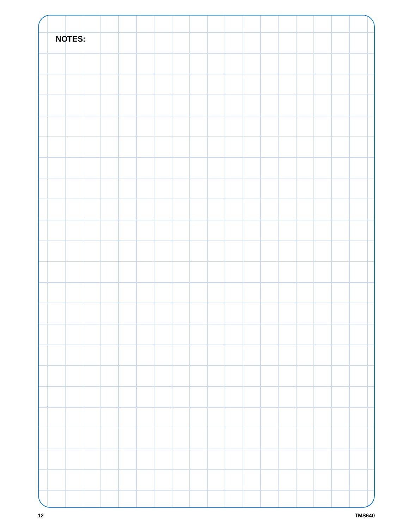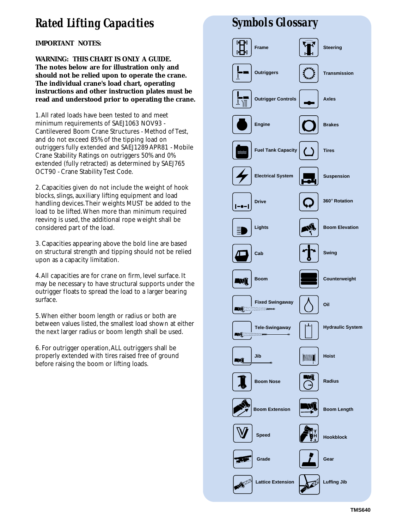# *Rated Lifting Capacities*

**IMPORTANT NOTES:**

**WARNING: THIS CHART IS ONLY A GUIDE. The notes below are for illustration only and should not be relied upon to operate the crane. The individual crane's load chart, operating instructions and other instruction plates must be read and understood prior to operating the crane.**

1.All rated loads have been tested to and meet minimum requirements of SAEJ1063 NOV93 - Cantilevered Boom Crane Structures - Method of Test, and do not exceed 85% of the tipping load on outriggers fully extended and SAEJ1289 APR81 - Mobile Crane Stability Ratings on outriggers 50% and 0% extended (fully retracted) as determined by SAEJ765 OCT90 - Crane Stability Test Code.

2. Capacities given do not include the weight of hook blocks, slings, auxiliary lifting equipment and load handling devices.Their weights MUST be added to the load to be lifted.When more than minimum required reeving is used, the additional rope weight shall be considered part of the load.

3. Capacities appearing above the bold line are based on structural strength and tipping should not be relied upon as a capacity limitation.

4.All capacities are for crane on firm, level surface. It may be necessary to have structural supports under the outrigger floats to spread the load to a larger bearing surface.

5.When either boom length or radius or both are between values listed, the smallest load shown at either the next larger radius or boom length shall be used.

6. For outrigger operation,ALL outriggers shall be properly extended with tires raised free of ground before raising the boom or lifting loads.

# *Symbols Glossary*